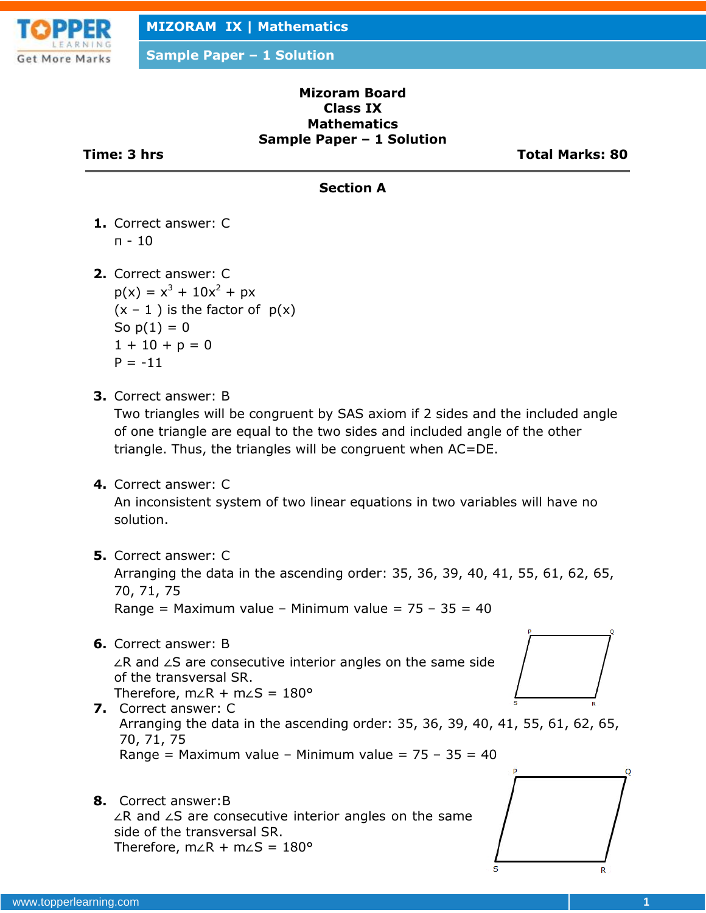

#### **Mizoram Board Class IX Mathematics Sample Paper – 1 Solution**

**Time: 3 hrs Total Marks: 80**

### **Section A**

- **1.** Correct answer: C π - 10
- **2.** Correct answer: C  $p(x) = x^{3} + 10x^{2} + px$  $(x - 1)$  is the factor of  $p(x)$ So  $p(1) = 0$  $1 + 10 + p = 0$  $P = -11$
- **3.** Correct answer: B

Two triangles will be congruent by SAS axiom if 2 sides and the included angle of one triangle are equal to the two sides and included angle of the other triangle. Thus, the triangles will be congruent when AC=DE.

**4.** Correct answer: C

An inconsistent system of two linear equations in two variables will have no solution.

**5.** Correct answer: C

Arranging the data in the ascending order: 35, 36, 39, 40, 41, 55, 61, 62, 65, 70, 71, 75

Range = Maximum value – Minimum value =  $75 - 35 = 40$ 

- **6.** Correct answer: B ∠R and ∠S are consecutive interior angles on the same side of the transversal SR. Therefore, m∠R + m∠S = 180°
- **7.** Correct answer: C Arranging the data in the ascending order: 35, 36, 39, 40, 41, 55, 61, 62, 65, 70, 71, 75 Range = Maximum value - Minimum value =  $75 - 35 = 40$
- **8.** Correct answer:B ∠R and ∠S are consecutive interior angles on the same side of the transversal SR. Therefore, m∠R + m∠S = 180°

www.topperlearning.com **1**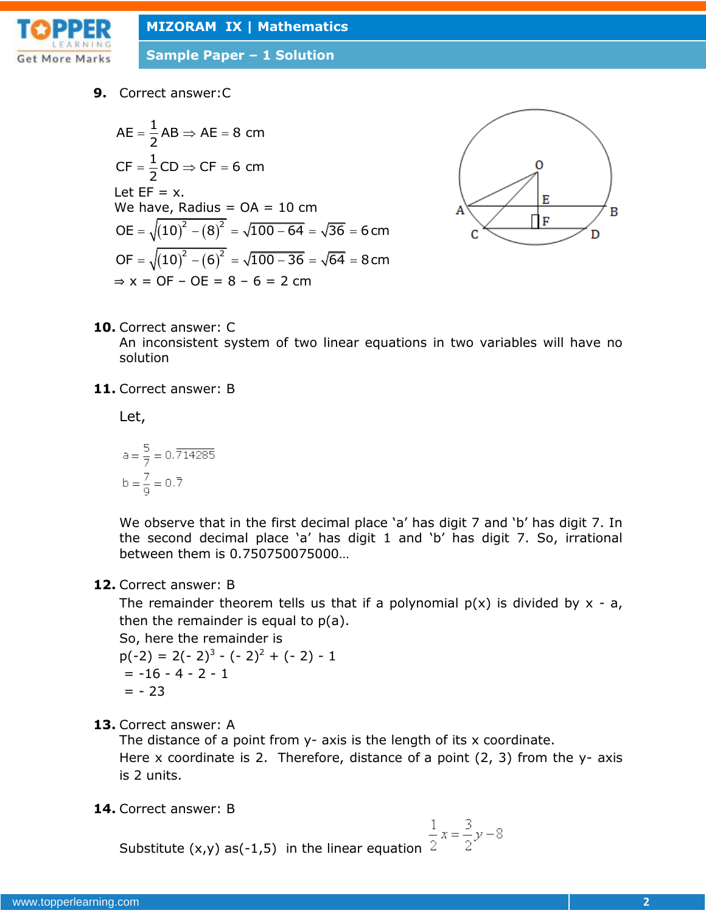

**Sample Paper – 1 Solution**

**9.** Correct answer:C

$$
AE = \frac{1}{2} AB \Rightarrow AE = 8 \text{ cm}
$$
  
\n
$$
CF = \frac{1}{2} CD \Rightarrow CF = 6 \text{ cm}
$$
  
\nLet EF = x.  
\nWe have, Radius = OA = 10 cm  
\n
$$
OE = \sqrt{(10)^2 - (8)^2} = \sqrt{100 - 64} = \sqrt{36} = 6 \text{ cm}
$$
  
\n
$$
OF = \sqrt{(10)^2 - (6)^2} = \sqrt{100 - 36} = \sqrt{64} = 8 \text{ cm}
$$
  
\n⇒ x = OF - OE = 8 - 6 = 2 cm



**10.** Correct answer: C

An inconsistent system of two linear equations in two variables will have no solution

**11.** Correct answer: B

Let,

$$
a = \frac{5}{7} = 0.\overline{714285}
$$
  

$$
b = \frac{7}{9} = 0.\overline{7}
$$

We observe that in the first decimal place 'a' has digit 7 and 'b' has digit 7. In the second decimal place 'a' has digit 1 and 'b' has digit 7. So, irrational between them is 0.750750075000…

#### **12.** Correct answer: B

The remainder theorem tells us that if a polynomial  $p(x)$  is divided by  $x - a$ , then the remainder is equal to  $p(a)$ .

So, here the remainder is

$$
p(-2) = 2(-2)^3 - (-2)^2 + (-2) - 1
$$
  
= -16 - 4 - 2 - 1  
= -23

**13.** Correct answer: A

The distance of a point from y- axis is the length of its x coordinate. Here x coordinate is 2. Therefore, distance of a point  $(2, 3)$  from the y- axis is 2 units.

**14.** Correct answer: B

$$
\frac{1}{2}x = \frac{3}{2}y - 8
$$

Substitute  $(x,y)$  as(-1,5) in the linear equation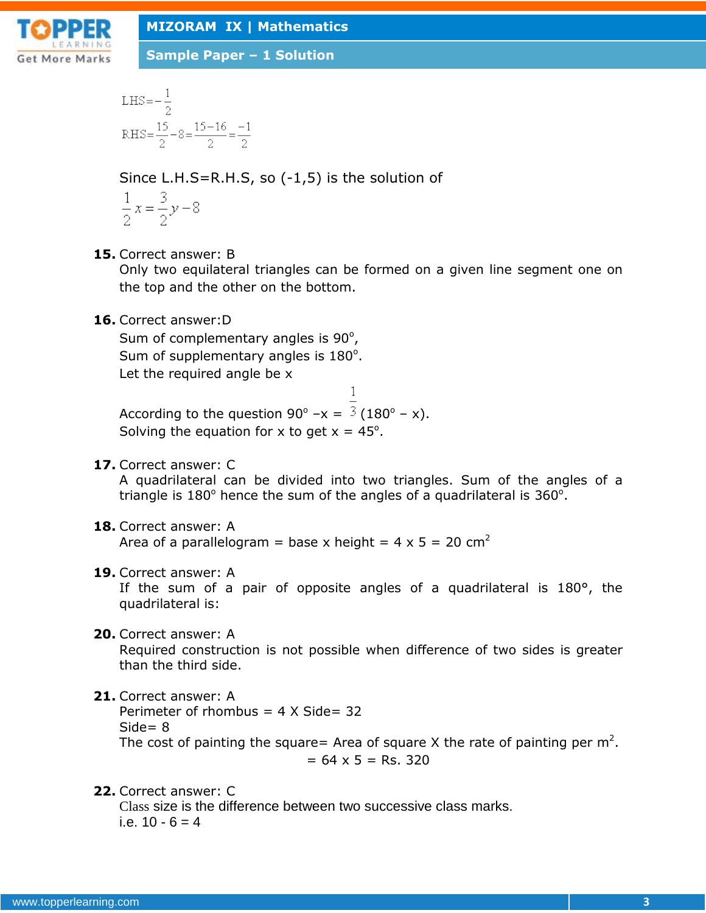

LHS = 
$$
-\frac{1}{2}
$$
  
RHS =  $\frac{15}{2} - 8 = \frac{15 - 16}{2} = \frac{-1}{2}$ 

Since L.H.S=R.H.S, so (-1,5) is the solution of

$$
\frac{1}{2}x = \frac{3}{2}y - 8
$$

**15.** Correct answer: B

Only two equilateral triangles can be formed on a given line segment one on the top and the other on the bottom.

**16.** Correct answer:D

Sum of complementary angles is  $90^\circ$ , Sum of supplementary angles is  $180^\circ$ . Let the required angle be x

According to the question 90° – $x = \frac{3}{180}$  – x). Solving the equation for x to get  $x = 45^\circ$ .

**17.** Correct answer: C

A quadrilateral can be divided into two triangles. Sum of the angles of a triangle is  $180^\circ$  hence the sum of the angles of a quadrilateral is  $360^\circ$ .

 $\mathbf{1}$ 

**18.** Correct answer: A

Area of a parallelogram = base x height =  $4 \times 5 = 20$  cm<sup>2</sup>

**19.** Correct answer: A

If the sum of a pair of opposite angles of a quadrilateral is 180°, the quadrilateral is:

**20.** Correct answer: A

Required construction is not possible when difference of two sides is greater than the third side.

**21.** Correct answer: A

Perimeter of rhombus  $= 4 \times$  Side= 32  $Side = 8$ The cost of painting the square= Area of square X the rate of painting per  $m^2$ .  $= 64 \times 5 =$  Rs. 320

### **22.** Correct answer: C

Class size is the difference between two successive class marks. i.e.  $10 - 6 = 4$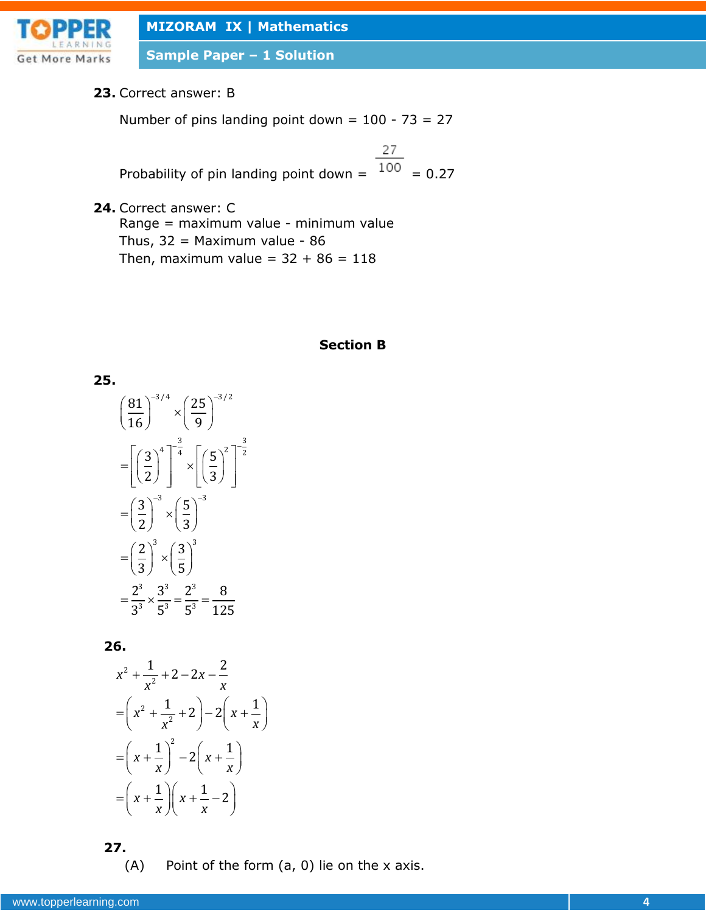

**Sample Paper – 1 Solution**

#### **23.** Correct answer: B

Number of pins landing point down =  $100 - 73 = 27$ 

27 Probability of pin landing point down =  $\frac{100}{100}$  = 0.27

**24.** Correct answer: C Range = maximum value - minimum value Thus,  $32 =$  Maximum value - 86 Then, maximum value =  $32 + 86 = 118$ 

# **Section B**

**25.**  
\n
$$
\left(\frac{81}{16}\right)^{-3/4} \times \left(\frac{25}{9}\right)^{-3/2}
$$
\n
$$
= \left[\left(\frac{3}{2}\right)^{4}\right]^{-\frac{3}{4}} \times \left[\left(\frac{5}{3}\right)^{2}\right]^{-\frac{3}{2}}
$$
\n
$$
= \left(\frac{3}{2}\right)^{-3} \times \left(\frac{5}{3}\right)^{-3}
$$
\n
$$
= \left(\frac{2}{3}\right)^{3} \times \left(\frac{3}{5}\right)^{3}
$$
\n
$$
= \frac{2^{3}}{3^{3}} \times \frac{3^{3}}{5^{3}} = \frac{2^{3}}{5^{3}} = \frac{8}{125}
$$

**26.**

$$
x^{2} + \frac{1}{x^{2}} + 2 - 2x - \frac{2}{x}
$$
  
=  $\left(x^{2} + \frac{1}{x^{2}} + 2\right) - 2\left(x + \frac{1}{x}\right)$   
=  $\left(x + \frac{1}{x}\right)^{2} - 2\left(x + \frac{1}{x}\right)$   
=  $\left(x + \frac{1}{x}\right)\left(x + \frac{1}{x} - 2\right)$ 

**27.**

(A) Point of the form (a, 0) lie on the x axis.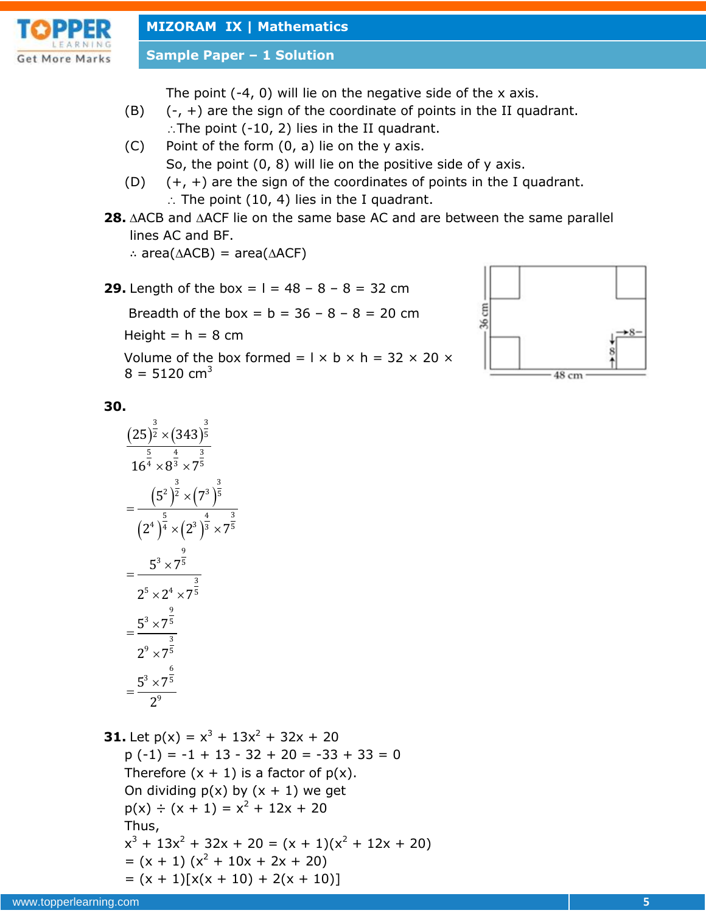

**Sample Paper – 1 Solution**

The point (-4, 0) will lie on the negative side of the x axis.

- $(B)$   $(-, +)$  are the sign of the coordinate of points in the II quadrant.  $\therefore$  The point (-10, 2) lies in the II quadrant.
- (C) Point of the form (0, a) lie on the y axis. So, the point (0, 8) will lie on the positive side of y axis.
- (D)  $(+, +)$  are the sign of the coordinates of points in the I quadrant.  $\therefore$  The point (10, 4) lies in the I quadrant.
- **28.** ACB and ACF lie on the same base AC and are between the same parallel lines AC and BF.

∴ area( $\triangle$ ACB) = area( $\triangle$ ACF)

**29.** Length of the box =  $1 = 48 - 8 - 8 = 32$  cm

Breadth of the box =  $b = 36 - 8 - 8 = 20$  cm

Height  $= h = 8$  cm

Volume of the box formed =  $1 \times b \times h = 32 \times 20 \times$  $8 = 5120$  cm<sup>3</sup>



# **30.**

$$
\frac{(25)^{\frac{3}{2}} \times (343)^{\frac{3}{5}}}{16^{\frac{5}{4}} \times 8^{\frac{4}{3}} \times 7^{\frac{3}{5}}}
$$
\n=\n
$$
\frac{(5^2)^{\frac{3}{2}} \times (7^3)^{\frac{3}{5}}}{(2^4)^{\frac{5}{4}} \times (2^3)^{\frac{4}{3}} \times 7^{\frac{3}{5}}}
$$
\n=\n
$$
\frac{5^3 \times 7^{\frac{9}{5}}}{2^5 \times 2^4 \times 7^{\frac{9}{5}}}
$$
\n=\n
$$
\frac{5^3 \times 7^{\frac{9}{5}}}{2^9 \times 7^{\frac{9}{5}}}
$$
\n=\n
$$
\frac{5^3 \times 7^{\frac{6}{5}}}{2^9}
$$

**31.** Let  $p(x) = x^3 + 13x^2 + 32x + 20$  $p(-1) = -1 + 13 - 32 + 20 = -33 + 33 = 0$ Therefore  $(x + 1)$  is a factor of  $p(x)$ . On dividing  $p(x)$  by  $(x + 1)$  we get  $p(x) \div (x + 1) = x^2 + 12x + 20$ Thus,  $x^{3} + 13x^{2} + 32x + 20 = (x + 1)(x^{2} + 12x + 20)$  $=(x + 1)(x<sup>2</sup> + 10x + 2x + 20)$  $= (x + 1)[x(x + 10) + 2(x + 10)]$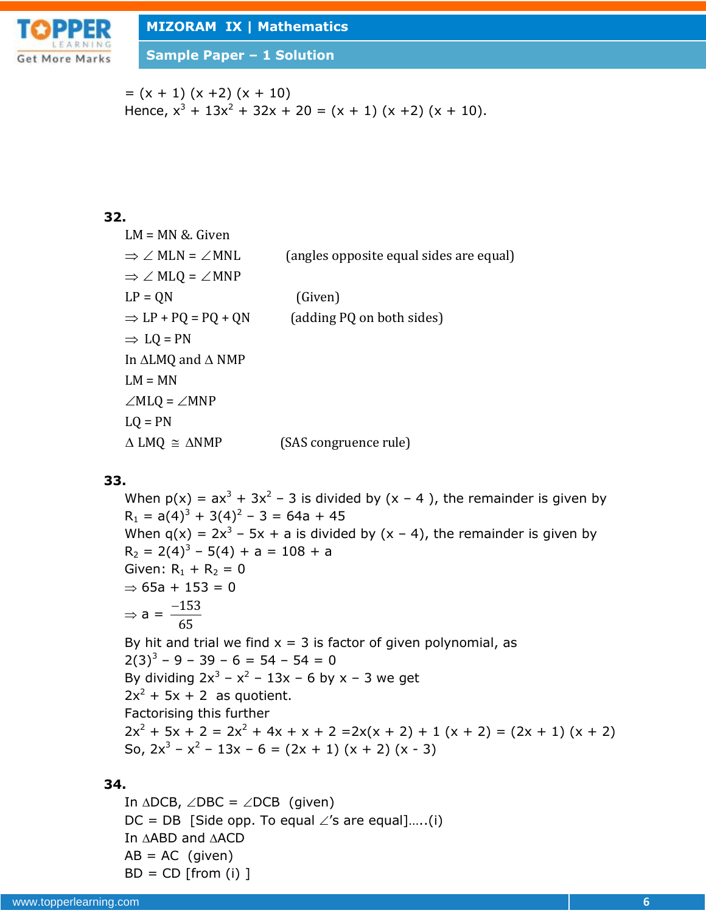

**Sample Paper – 1 Solution**

 $= (x + 1) (x + 2) (x + 10)$ Hence,  $x^3 + 13x^2 + 32x + 20 = (x + 1) (x + 2) (x + 10)$ .

# **32.**

| $LM = MN & Given$                        |                                         |
|------------------------------------------|-----------------------------------------|
| $\Rightarrow \angle$ MLN = $\angle$ MNL  | (angles opposite equal sides are equal) |
| $\Rightarrow \angle M L Q = \angle M NP$ |                                         |
| $LP = ON$                                | (Given)                                 |
| $\Rightarrow$ LP + PQ = PQ + QN          | (adding PQ on both sides)               |
| $\Rightarrow$ LQ = PN                    |                                         |
| In $\triangle LMQ$ and $\triangle NMP$   |                                         |
| $LM = MN$                                |                                         |
| $\angle M L Q = \angle M NP$             |                                         |
| $LO = PN$                                |                                         |
| $\triangle LMQ \cong \triangle NMP$      | (SAS congruence rule)                   |
|                                          |                                         |

## **33.**

When  $p(x) = ax^3 + 3x^2 - 3$  is divided by  $(x - 4)$ , the remainder is given by  $R_1 = a(4)^3 + 3(4)^2 - 3 = 64a + 45$ When  $q(x) = 2x^3 - 5x + a$  is divided by  $(x - 4)$ , the remainder is given by  $R_2 = 2(4)^3 - 5(4) + a = 108 + a$ Given:  $R_1 + R_2 = 0$  $\Rightarrow$  65a + 153 = 0  $\Rightarrow$  a =  $\frac{-153}{15}$ 65 By hit and trial we find  $x = 3$  is factor of given polynomial, as  $2(3)^3 - 9 - 39 - 6 = 54 - 54 = 0$ By dividing  $2x^3 - x^2 - 13x - 6$  by x - 3 we get

 $2x^2 + 5x + 2$  as quotient. Factorising this further  $2x^{2} + 5x + 2 = 2x^{2} + 4x + x + 2 = 2x(x + 2) + 1(x + 2) = (2x + 1)(x + 2)$ So,  $2x^3 - x^2 - 13x - 6 = (2x + 1) (x + 2) (x - 3)$ 

# **34.**

In  $\triangle DCB$ ,  $\angle DBC = \angle DCB$  (given)  $DC = DB$  [Side opp. To equal  $\angle$ 's are equal].....(i) In  $\triangle ABD$  and  $\triangle ACD$  $AB = AC$  (given)  $BD = CD$  [from (i) ]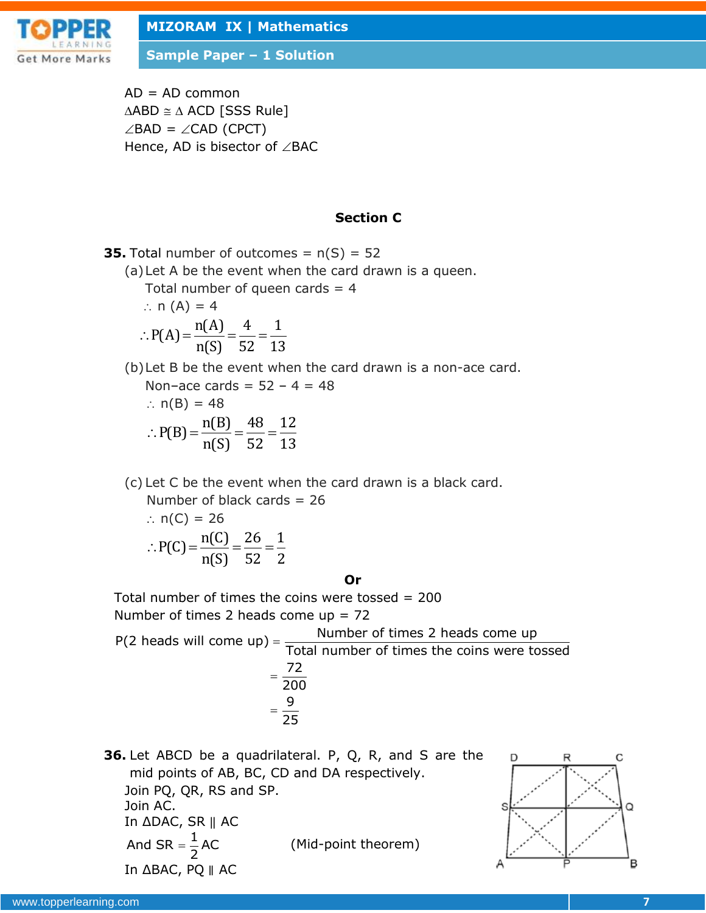

**Sample Paper – 1 Solution**

 $AD = AD$  common  $\triangle ABD \cong \triangle ACD$  [SSS Rule]  $\angle$ BAD =  $\angle$ CAD (CPCT) Hence, AD is bisector of  $\angle$ BAC

#### **Section C**

**35.** Total number of outcomes =  $n(S) = 52$ (a)Let A be the event when the card drawn is a queen. Total number of queen cards  $= 4$  $\therefore$  n (A) = 4 ∴ P(A) =  $\frac{n(A)}{n(A)} = \frac{4}{52} = \frac{1}{12}$  $\frac{1}{\text{n(S)}} = \frac{1}{52} = \frac{1}{13}$ (b)Let B be the event when the card drawn is a non-ace card. Non–ace cards =  $52 - 4 = 48$ 

:. n(B) = 48  
\n:. P(B) = 
$$
\frac{n(B)}{n(S)} = \frac{48}{52} = \frac{12}{13}
$$

(c) Let C be the event when the card drawn is a black card.

 Number of black cards = 26 ∴  $n(C) = 26$  $\therefore P(C) = \frac{n(C)}{C} = \frac{26}{52} = \frac{1}{2}$ 

$$
P(C) = \frac{n(S)}{n(S)} = \frac{28}{52} = \frac{2}{2}
$$

**Or**

Total number of times the coins were tossed  $= 200$ Number of times 2 heads come  $up = 72$ 

 $P(2 \text{ heads will come up}) = \frac{\text{Number of times 2 heads come up}}{\frac{1}{2} + \frac{1}{2} + \frac{1}{2} + \frac{1}{2}}$ Total number of times the coins were tossed 72 200 9 25  $=$  $=$  $=$ 

**36.** Let ABCD be a quadrilateral. P, Q, R, and S are the mid points of AB, BC, CD and DA respectively. Join PQ, QR, RS and SP. Join AC. In ΔDAC, SR ‖ AC And SR =  $\frac{1}{2}$ AC 2  $=$ (Mid-point theorem) In ΔBAC, PQ ∥ AC

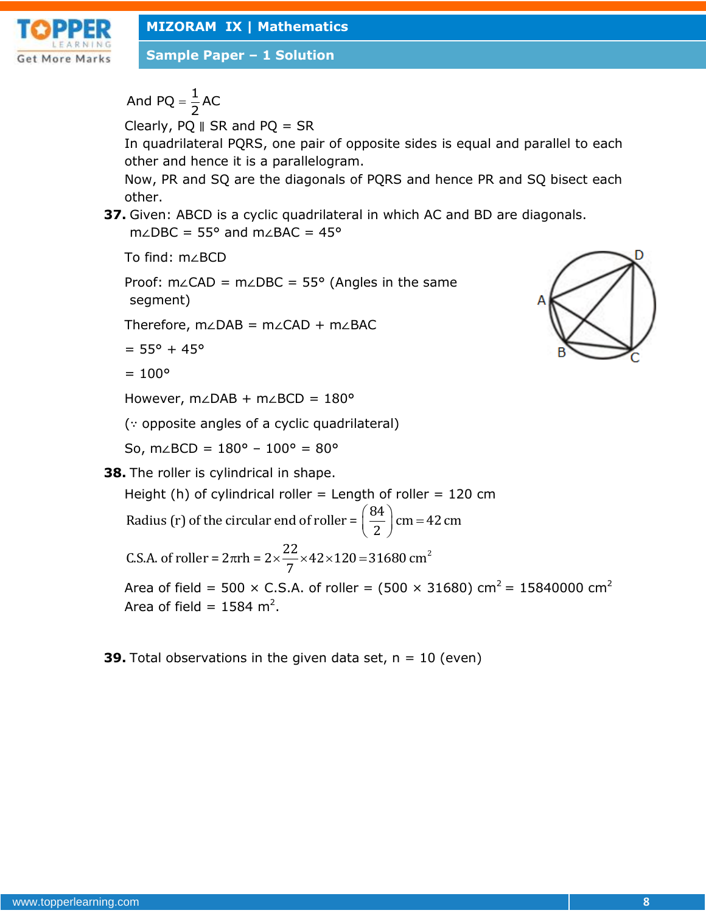

**Sample Paper – 1 Solution**

And PQ =  $\frac{1}{2}$ AC 2  $=$ 

Clearly, PQ ∥ SR and PQ = SR

In quadrilateral PQRS, one pair of opposite sides is equal and parallel to each other and hence it is a parallelogram.

Now, PR and SQ are the diagonals of PQRS and hence PR and SQ bisect each other.

**37.** Given: ABCD is a cyclic quadrilateral in which AC and BD are diagonals. m∠DBC = 55° and m∠BAC = 45°

To find: m∠BCD

Proof: m∠CAD = m∠DBC = 55° (Angles in the same segment)

Therefore, m∠DAB = m∠CAD + m∠BAC

```
= 55^{\circ} + 45^{\circ}
```

```
= 100^{\circ}
```
However, m∠DAB + m∠BCD = 180°

(∵ opposite angles of a cyclic quadrilateral)

So, m∠BCD =  $180^{\circ}$  –  $100^{\circ}$  =  $80^{\circ}$ 

**38.** The roller is cylindrical in shape.

Height (h) of cylindrical roller = Length of roller = 120 cm

Height (h) of cylindrical roller = Length of roller = 12<br>Radius (r) of the circular end of roller =  $\left(\frac{84}{2}\right)$  cm = 42 cm th of roller =<br> $\left(\frac{84}{2}\right)$  cm = 42 th of roller =<br> $\left(\frac{84}{2}\right)$ cm = 42

 $22\frac{12\times120-21690 \text{ cm}^2}{2}$ Radius (r) of the circular end of roller =  $\left(\frac{1}{2}\right)$  cm =<br>C.S.A. of roller =  $2\pi$ rh =  $2 \times \frac{22}{7} \times 42 \times 120 = 31680$  cm

Area of field = 500  $\times$  C.S.A. of roller = (500  $\times$  31680) cm<sup>2</sup> = 15840000 cm<sup>2</sup> Area of field =  $1584 \text{ m}^2$ .

**39.** Total observations in the given data set,  $n = 10$  (even)

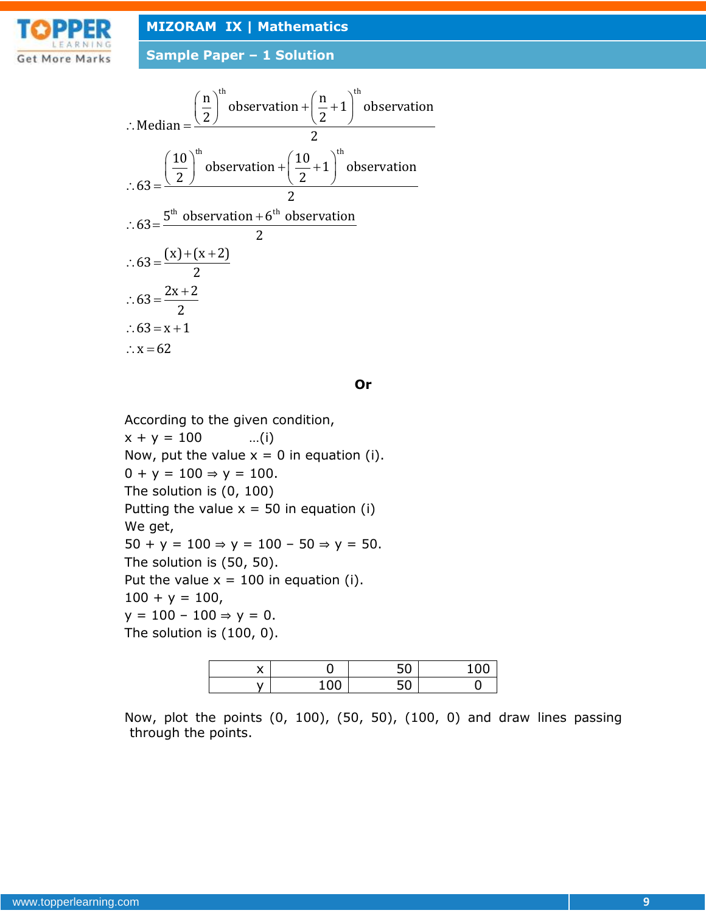

**Sample Paper – 1 Solution**

$$
\therefore \text{Median} = \frac{\left(\frac{n}{2}\right)^{\text{th}} \text{observation} + \left(\frac{n}{2} + 1\right)^{\text{th}} \text{observation}}{2}
$$
\n
$$
\therefore 63 = \frac{\left(\frac{10}{2}\right)^{\text{th}} \text{observation} + \left(\frac{10}{2} + 1\right)^{\text{th}} \text{observation}}{2}
$$
\n
$$
\therefore 63 = \frac{5^{\text{th}} \text{ observation} + 6^{\text{th}} \text{ observation}}{2}
$$
\n
$$
\therefore 63 = \frac{(x) + (x + 2)}{2}
$$
\n
$$
\therefore 63 = \frac{2x + 2}{2}
$$
\n
$$
\therefore 63 = x + 1
$$
\n
$$
\therefore x = 62
$$

**Or**

According to the given condition,  $x + y = 100$  ...(i) Now, put the value  $x = 0$  in equation (i).  $0 + y = 100 \Rightarrow y = 100$ . The solution is (0, 100) Putting the value  $x = 50$  in equation (i) We get, 50 + y = 100 ⇒ y = 100 - 50 ⇒ y = 50. The solution is (50, 50). Put the value  $x = 100$  in equation (i).  $100 + y = 100,$  $y = 100 - 100 \Rightarrow y = 0.$ The solution is (100, 0).

| $\cdot$<br>́ |                    | - ^<br>Ju | ~ ~ |
|--------------|--------------------|-----------|-----|
| . .          | $\sim$ $\sim$<br>◡ | - -<br>Ju |     |

Now, plot the points (0, 100), (50, 50), (100, 0) and draw lines passing through the points.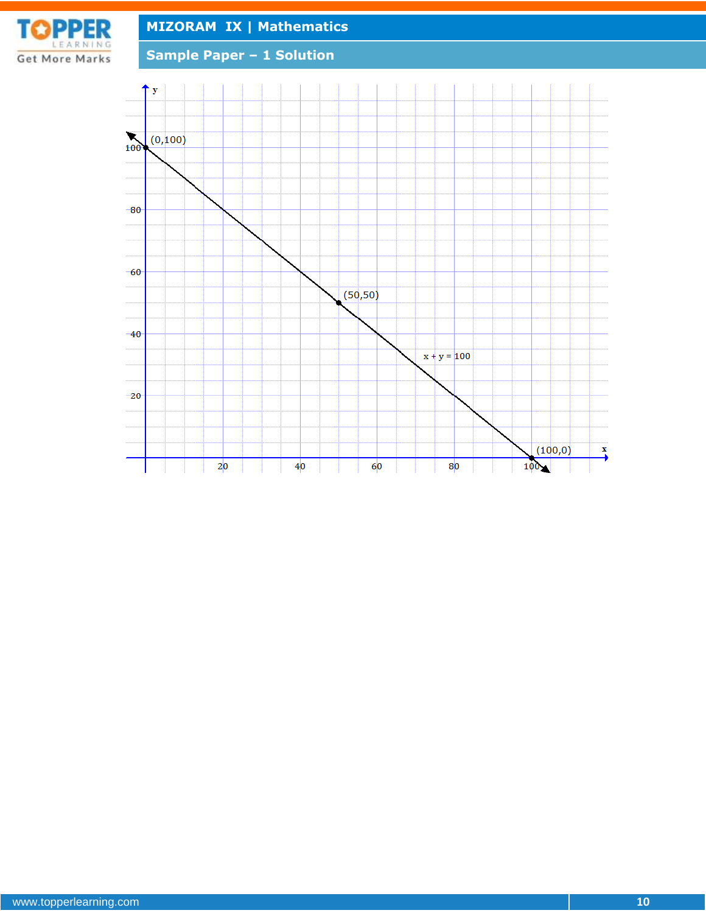

**Sample Paper – 1 Solution**

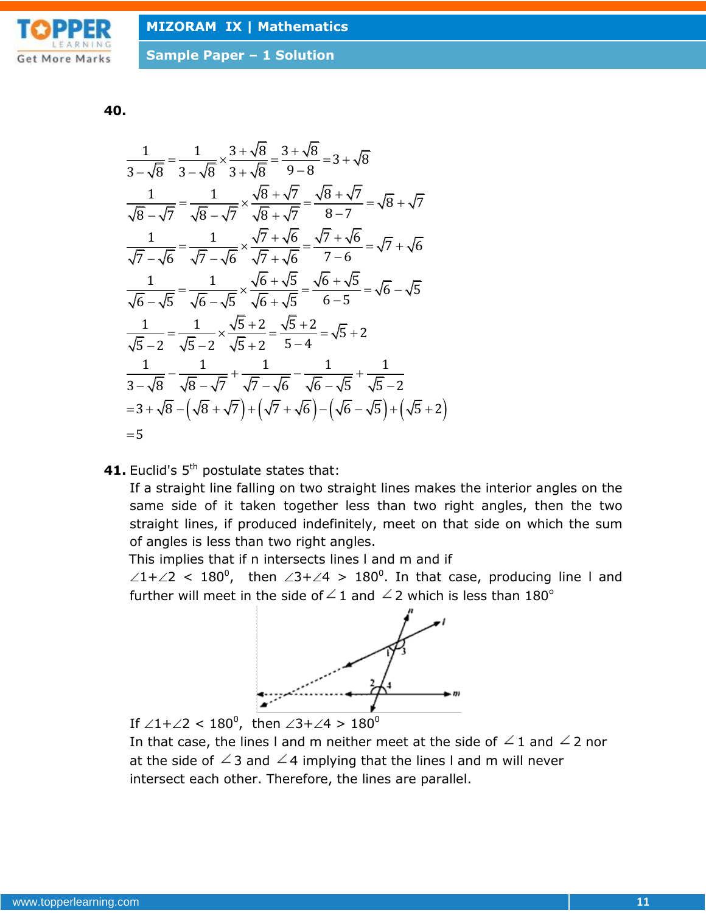

**40.**

$$
\frac{1}{3-\sqrt{8}} = \frac{1}{3-\sqrt{8}} \times \frac{3+\sqrt{8}}{3+\sqrt{8}} = \frac{3+\sqrt{8}}{9-8} = 3+\sqrt{8}
$$
\n
$$
\frac{1}{\sqrt{8}-\sqrt{7}} = \frac{1}{\sqrt{8}-\sqrt{7}} \times \frac{\sqrt{8}+\sqrt{7}}{\sqrt{8}+\sqrt{7}} = \frac{\sqrt{8}+\sqrt{7}}{8-7} = \sqrt{8}+\sqrt{7}
$$
\n
$$
\frac{1}{\sqrt{7}-\sqrt{6}} = \frac{1}{\sqrt{7}-\sqrt{6}} \times \frac{\sqrt{7}+\sqrt{6}}{\sqrt{7}+\sqrt{6}} = \frac{\sqrt{7}+\sqrt{6}}{7-6} = \sqrt{7}+\sqrt{6}
$$
\n
$$
\frac{1}{\sqrt{6}-\sqrt{5}} = \frac{1}{\sqrt{6}-\sqrt{5}} \times \frac{\sqrt{6}+\sqrt{5}}{\sqrt{6}+\sqrt{5}} = \frac{\sqrt{6}+\sqrt{5}}{6-5} = \sqrt{6}-\sqrt{5}
$$
\n
$$
\frac{1}{\sqrt{5}-2} = \frac{1}{\sqrt{5}-2} \times \frac{\sqrt{5}+2}{\sqrt{5}+2} = \frac{\sqrt{5}+2}{5-4} = \sqrt{5}+2
$$
\n
$$
\frac{1}{3-\sqrt{8}} - \frac{1}{\sqrt{8}-\sqrt{7}} + \frac{1}{\sqrt{7}-\sqrt{6}} - \frac{1}{\sqrt{6}-\sqrt{5}} + \frac{1}{\sqrt{5}-2}
$$
\n
$$
= 3+\sqrt{8}-\left(\sqrt{8}+\sqrt{7}\right)+\left(\sqrt{7}+\sqrt{6}\right)-\left(\sqrt{6}-\sqrt{5}\right)+\left(\sqrt{5}+2\right)
$$
\n
$$
= 5
$$

41. Euclid's 5<sup>th</sup> postulate states that:

If a straight line falling on two straight lines makes the interior angles on the same side of it taken together less than two right angles, then the two straight lines, if produced indefinitely, meet on that side on which the sum of angles is less than two right angles.

This implies that if n intersects lines l and m and if

 $\angle 1+\angle 2$  < 180<sup>0</sup>, then  $\angle 3+\angle 4$  > 180<sup>0</sup>. In that case, producing line I and further will meet in the side of  $\angle$  1 and  $\angle$  2 which is less than 180<sup>o</sup>



If  $\angle 1+\angle 2 < 180^0$ , then  $\angle 3+\angle 4 > 180^0$ 

In that case, the lines I and m neither meet at the side of  $\angle$  1 and  $\angle$  2 nor at the side of  $\angle$  3 and  $\angle$  4 implying that the lines I and m will never intersect each other. Therefore, the lines are parallel.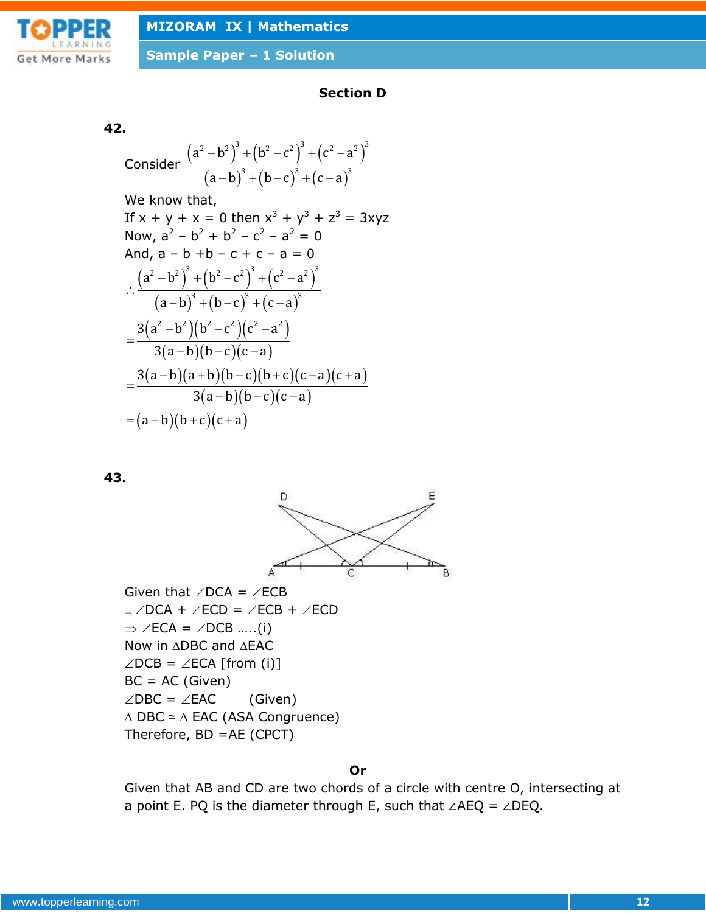

# **Section D**

#### **42.**

Consider 
$$
\frac{(a^2-b^2)^3 + (b^2-c^2)^3 + (c^2-a^2)^3}{(a-b)^3 + (b-c)^3 + (c-a)^3}
$$

We know that,

If x + y + x = 0 then x<sup>3</sup> + y<sup>3</sup> + z<sup>3</sup> = 3xyz  
\nNow, a<sup>2</sup> - b<sup>2</sup> + b<sup>2</sup> - c<sup>2</sup> - a<sup>2</sup> = 0  
\nAnd, a - b + b - c + c - a = 0  
\n
$$
\therefore \frac{(a2 - b2)3 + (b2 - c2)3 + (c2 - a2)3}{(a - b)3 + (b - c)3 + (c - a)3}
$$
\n
$$
= \frac{3(a2 - b2)(b2 - c2)(c2 - a2)}{3(a - b)(b - c)(c - a)}
$$
\n
$$
= \frac{3(a - b)(a + b)(b - c)(b + c)(c - a)(c + a)}{3(a - b)(b - c)(c - a)}
$$
\n= (a + b)(b + c)(c + a)

#### **43.**



# **Or**

Given that AB and CD are two chords of a circle with centre O, intersecting at a point E. PQ is the diameter through E, such that ∠AEQ = ∠DEQ.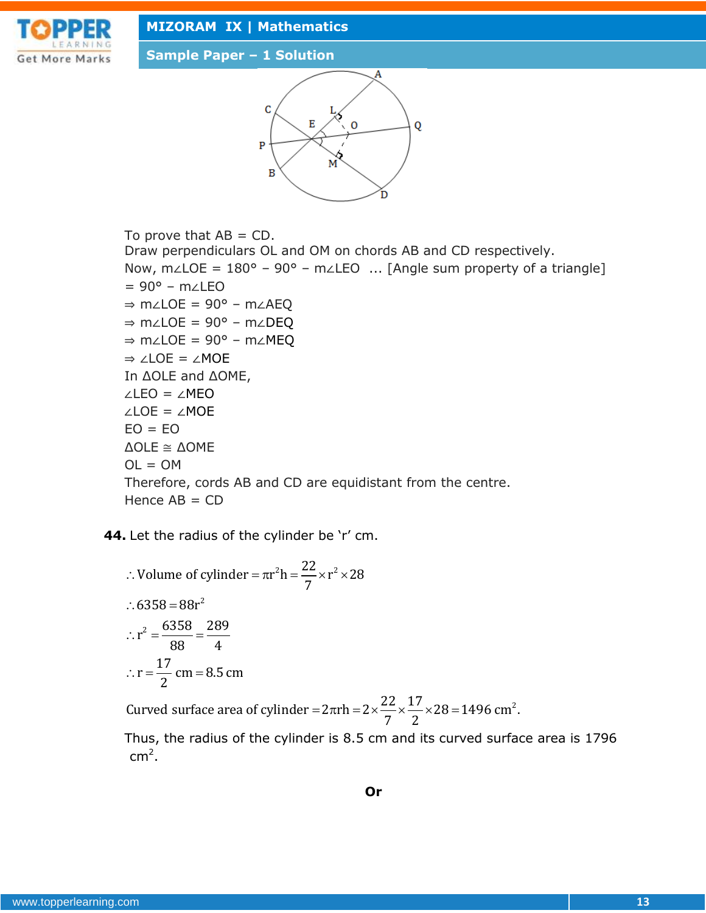

**Sample Paper – 1 Solution**



To prove that  $AB = CD$ . Draw perpendiculars OL and OM on chords AB and CD respectively. Now, m∠LOE = 180° – 90° – m∠LEO ... [Angle sum property of a triangle] = 90° – m∠LEO ⇒ m∠LOE = 90° – m∠AEQ ⇒ m∠LOE = 90° – m∠DEQ ⇒ m∠LOE = 90° – m∠MEQ ⇒ ∠LOE = ∠MOE In ΔOLE and ΔOME, ∠LEO = ∠MEO ∠LOE = ∠MOE  $EO = EO$ ΔOLE ≅ ΔOME  $OL = OM$ Therefore, cords AB and CD are equidistant from the centre. Hence  $AB = CD$ 

**44.** Let the radius of the cylinder be 'r' cm.  
\n
$$
\therefore \text{ Volume of cylinder} = \pi r^2 h = \frac{22}{7} \times r^2 \times 28
$$
\n
$$
\therefore 6358 = 88r^2
$$
\n
$$
\therefore r^2 = \frac{6358}{88} = \frac{289}{4}
$$
\n
$$
\therefore r = \frac{17}{2} \text{ cm} = 8.5 \text{ cm}
$$
\n
$$
\text{Curve surface area of cylinder} = 2\pi rh = 2 \times \frac{22}{7} \times \frac{17}{2} \times 28 = 1496 \text{ cm}^2.
$$

2

Thus, the radius of the cylinder is 8.5 cm and its curved surface area is 1796  $\mathsf{cm}^2$ .